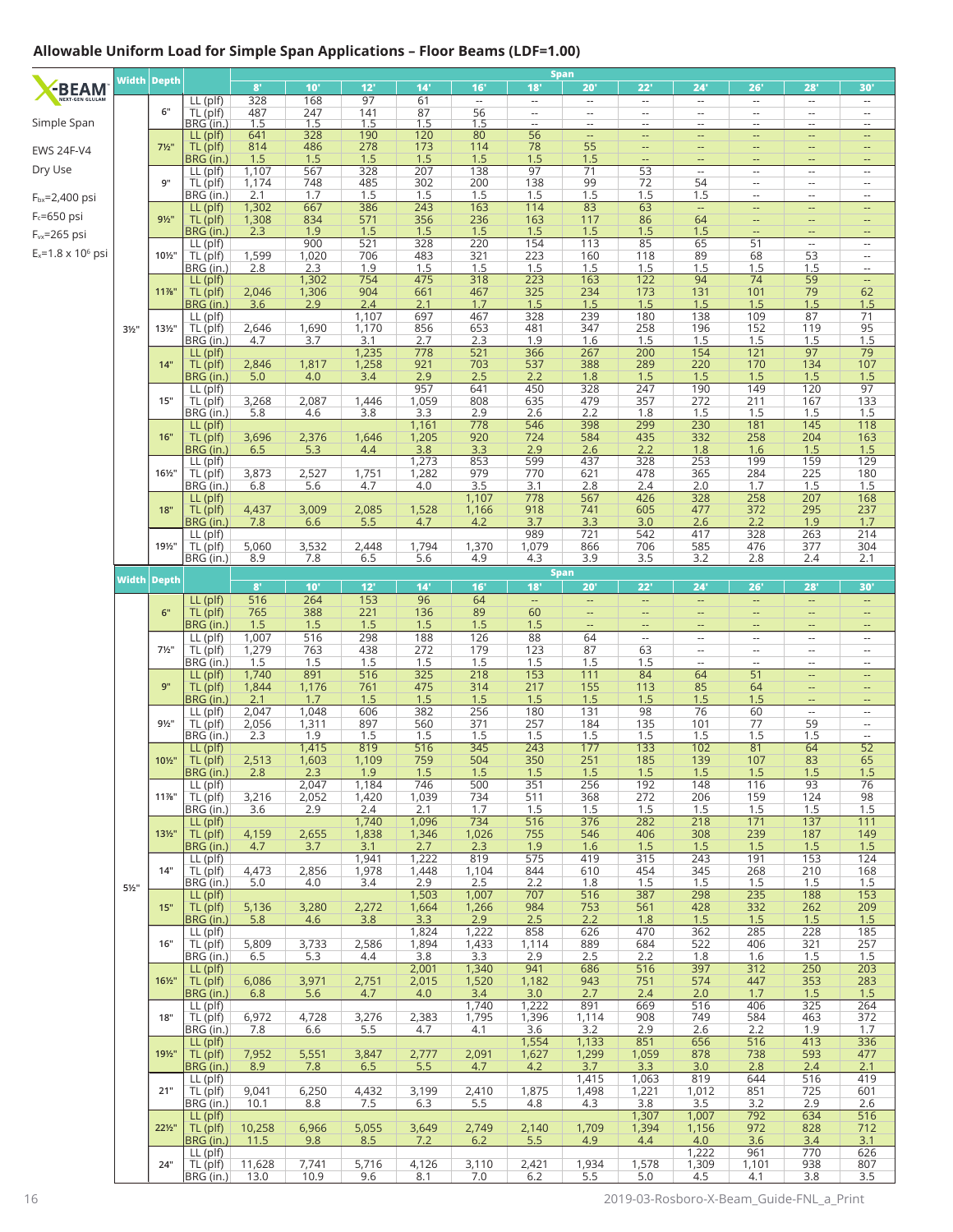## **Allowable Uniform Load for Simple Span Applications – Floor Beams (LDF=1.00)**

|                             |                  | Width Depth      |                            | $8^{\circ}$    | 10'                     | 12'                     | 14'                     | 16'                      | 18'                                                  | <b>Span</b><br>20'                                   | 22'                                                  | 24'                                                  | 26'                                                  | 28'                            | 30'                                                  |
|-----------------------------|------------------|------------------|----------------------------|----------------|-------------------------|-------------------------|-------------------------|--------------------------|------------------------------------------------------|------------------------------------------------------|------------------------------------------------------|------------------------------------------------------|------------------------------------------------------|--------------------------------|------------------------------------------------------|
| -BEAM                       |                  |                  | $LL$ (plf)                 | 328            | 168                     | 97                      | 61                      | $\overline{\phantom{a}}$ | Ξ.                                                   | $\overline{\phantom{a}}$                             | $\overline{\phantom{a}}$                             | $\overline{\phantom{a}}$                             | $\overline{\phantom{a}}$                             | $\overline{\phantom{a}}$       | $\overline{\phantom{a}}$                             |
| Simple Span                 |                  | 6"               | TL (plf)<br>BRG (in.)      | 487<br>1.5     | 247<br>$\overline{1.5}$ | 141<br>1.5              | 87<br>1.5               | $\frac{56}{1.5}$         | $\overline{\phantom{a}}$<br>$\overline{\phantom{a}}$ | $\overline{\phantom{a}}$<br>$\overline{\phantom{a}}$ | $\overline{\phantom{a}}$<br>$\overline{\phantom{a}}$ | $\overline{\phantom{a}}$<br>$\overline{\phantom{a}}$ | $\overline{\phantom{a}}$<br>$\overline{\phantom{a}}$ | $\overline{\phantom{a}}$<br>-- | $\overline{\phantom{a}}$<br>$\overline{\phantom{a}}$ |
|                             |                  |                  | LL (plf)                   | 641            | 328                     | 190                     | 120                     | 80                       | $\overline{56}$                                      | $\overline{\phantom{a}}$                             | $\overline{\phantom{a}}$                             | --                                                   | --                                                   | $\overline{\phantom{a}}$       | --                                                   |
| <b>EWS 24F-V4</b>           |                  | $7\frac{1}{2}$ " | TL (plf)<br>BRG (in.)      | 814<br>1.5     | 486<br>1.5              | 278<br>1.5              | 173<br>1.5              | 114<br>1.5               | 78<br>1.5                                            | 55<br>1.5                                            | $\overline{\phantom{a}}$<br>$\overline{\phantom{a}}$ | --<br>--                                             | --<br>--                                             | ц.                             | $\qquad \qquad -$<br>$\overline{\phantom{a}}$        |
| Dry Use                     |                  |                  | LL (plf)                   | 1,107          | 567                     | 328                     | 207                     | 138                      | 97                                                   | 71                                                   | 53                                                   | $\overline{\phantom{a}}$                             | --                                                   | --                             | $\overline{\phantom{a}}$                             |
| F <sub>bx</sub> =2,400 psi  |                  | 9"               | TL (plf)<br>BRG (in.)      | 1,174<br>2.1   | 748<br>1.7              | 485<br>1.5              | 302<br>1.5              | 200<br>1.5               | 138<br>1.5                                           | 99<br>1.5                                            | 72<br>1.5                                            | 54<br>1.5                                            | $\overline{\phantom{a}}$<br>Ξ.                       | $\cdots$<br>--                 | $\overline{\phantom{a}}$<br>$\overline{\phantom{a}}$ |
| $F_c = 650$ psi             |                  |                  | LL (plf)                   | 1,302          | 667                     | 386                     | 243                     | 163                      | 114                                                  | 83                                                   | 63                                                   | --                                                   | $\overline{\phantom{a}}$                             | --                             | --                                                   |
| $F_{vx} = 265$ psi          |                  | $9\frac{1}{2}$ " | TL (plf)<br>BRG (in.)      | 1,308<br>2.3   | 834<br>1.9              | 571<br>1.5              | 356<br>1.5              | 236<br>1.5               | 163<br>1.5                                           | 117<br>1.5                                           | 86<br>1.5                                            | 64<br>1.5                                            | --                                                   | --                             | $\overline{\phantom{a}}$<br>$\overline{a}$           |
| $E_x = 1.8 \times 10^6$ psi |                  |                  | LL (plf)                   |                | 900                     | 521                     | 328                     | 220                      | 154                                                  | 113                                                  | 85                                                   | 65                                                   | 51                                                   | $\overline{\phantom{a}}$       | $\cdots$                                             |
|                             |                  | 101/2"           | TL (plf)<br>BRG (in.)      | 1,599<br>2.8   | 1,020<br>2.3            | 706<br>1.9              | 483<br>1.5              | 321<br>1.5               | 223<br>1.5                                           | 160<br>1.5                                           | 118<br>1.5                                           | 89<br>1.5                                            | 68<br>1.5                                            | 53<br>1.5                      | $\overline{\phantom{a}}$<br>$\overline{\phantom{a}}$ |
|                             |                  | 11%"             | LL (plf)                   |                | 1,302                   | 754                     | 475                     | 318                      | 223                                                  | 163                                                  | 122                                                  | 94                                                   | 74                                                   | 59                             | $\overline{\phantom{a}}$                             |
|                             |                  |                  | TL (plf)<br>BRG (in.)      | 2,046<br>3.6   | 1,306<br>2.9            | 904<br>2.4              | 661<br>2.1              | 467<br>1.7               | 325<br>1.5                                           | 234<br>1.5                                           | 173<br>1.5                                           | 131<br>1.5                                           | 101<br>1.5                                           | 79<br>1.5                      | 62<br>1.5                                            |
|                             |                  | 131/2"           | LL (plf)<br>TL (plf)       | 2,646          | 1,690                   | 1,107<br>1,170          | 697<br>856              | 467<br>653               | 328<br>481                                           | 239<br>347                                           | 180<br>258                                           | 138<br>196                                           | 109<br>152                                           | 87<br>119                      | 71<br>95                                             |
|                             | $3\frac{1}{2}$ " |                  | BRG (in.)                  | 4.7            | 3.7                     | 3.1                     | 2.7                     | 2.3                      | 1.9                                                  | 1.6                                                  | 1.5                                                  | 1.5                                                  | 1.5                                                  | 1.5                            | 1.5                                                  |
|                             |                  | 14"              | LL (plf)<br>TL (plf)       | 2,846          | 1,817                   | 1,235<br>1,258          | 778<br>921              | 521<br>703               | 366<br>537                                           | 267<br>388                                           | 200<br>289                                           | 154<br>220                                           | 121<br>170                                           | $\overline{97}$<br>134         | $\overline{79}$<br>107                               |
|                             |                  |                  | BRG (in.)                  | 5.0            | 4.0                     | 3.4                     | 2.9                     | 2.5                      | 2.2                                                  | 1.8                                                  | 1.5                                                  | 1.5                                                  | 1.5                                                  | 1.5                            | 1.5                                                  |
|                             |                  | 15"              | LL (plf)<br>TL (plf)       | 3,268          | 2,087                   | 1,446                   | 957<br>1,059            | 641<br>808               | 450<br>635                                           | 328<br>479                                           | 247<br>357                                           | 190<br>272                                           | 149<br>211                                           | 120<br>167                     | 97<br>133                                            |
|                             |                  |                  | BRG (in.)                  | 5.8            | 4.6                     | 3.8                     | 3.3                     | 2.9                      | 2.6                                                  | 2.2                                                  | 1.8                                                  | 1.5                                                  | 1.5                                                  | 1.5                            | 1.5                                                  |
|                             |                  | 16"              | $LL$ (plf)<br>TL (plf)     | 3,696          | 2,376                   | 1,646                   | 1,161<br>1,205          | 778<br>920               | 546<br>724                                           | 398<br>584                                           | 299<br>435                                           | 230<br>332                                           | 181<br>258                                           | 145<br>204                     | 118<br>163                                           |
|                             |                  |                  | BRG (in.)                  | 6.5            | 5.3                     | 4.4                     | 3.8                     | 3.3                      | 2.9                                                  | 2.6                                                  | 2.2                                                  | 1.8                                                  | 1.6                                                  | 1.5                            | 1.5                                                  |
|                             |                  | 161/2"           | LL (plf)<br>TL (plf)       | 3,873          | 2,527                   | 1,751                   | 1,273<br>1,282          | 853<br>979               | 599<br>770                                           | 437<br>621                                           | 328<br>478                                           | 253<br>365                                           | 199<br>284                                           | 159<br>225                     | 129<br>180                                           |
|                             |                  |                  | BRG (in.)                  | 6.8            | 5.6                     | 4.7                     | 4.0                     | 3.5                      | 3.1                                                  | 2.8                                                  | 2.4                                                  | 2.0                                                  | 1.7                                                  | 1.5                            | 1.5                                                  |
|                             |                  | 18"              | LL (plf)<br>TL (plf)       | 4,437          | 3,009                   | 2,085                   | 1,528                   | 1,107<br>1,166           | 778<br>918                                           | 567<br>741                                           | 426<br>605                                           | 328<br>477                                           | 258<br>372                                           | 207<br>295                     | 168<br>237                                           |
|                             |                  |                  | BRG (in.)                  | 7.8            | 6.6                     | 5.5                     | 4.7                     | 4.2                      | 3.7                                                  | 3.3                                                  | 3.0                                                  | 2.6                                                  | 2.2                                                  | 1.9                            | 1.7                                                  |
|                             |                  | 191/2"           | $LL$ (plf)<br>TL (plf)     | 5,060          | 3,532                   | 2,448                   | 1,794                   | 1,370                    | 989<br>1,079                                         | 721<br>866                                           | 542<br>706                                           | 417<br>585                                           | 328<br>476                                           | 263<br>377                     | 214<br>304                                           |
|                             |                  |                  | BRG (in.)                  | 8.9            | 7.8                     | 6.5                     | 5.6                     | 4.9                      | 4.3                                                  | 3.9                                                  | 3.5                                                  | 3.2                                                  | 2.8                                                  | 2.4                            | 2.1                                                  |
|                             |                  | Width Depth      |                            | $\mathbf{8}^*$ | 10'                     | 12'                     | 14'                     | 16'                      | 18'                                                  | <b>Span</b><br>20'                                   | 22'                                                  | 24'                                                  | 26'                                                  | 28'                            | 30'                                                  |
|                             |                  | 6"               | LL (plf)                   | 516            | 264                     | 153<br>221              | 96                      | 64<br>89                 | $\overline{\phantom{a}}$                             | $\overline{\phantom{m}}$                             | $\overline{\phantom{a}}$                             | --                                                   | --                                                   | --                             | $\overline{\phantom{a}}$                             |
|                             |                  |                  | TL (plf)<br>BRG (in.)      | 765<br>1.5     | 388<br>1.5              | 1.5                     | 136<br>1.5              | 1.5                      | 60<br>1.5                                            | $\qquad \qquad -$<br>--                              | $\overline{\phantom{a}}$<br>4                        | --<br>--                                             | --                                                   | $\overline{a}$                 |                                                      |
|                             |                  | $7\frac{1}{2}$ " | $LL$ (plf)<br>TL (plf)     | 1,007<br>1,279 | 516<br>763              | 298<br>438              | 188<br>272              | 126<br>179               | 88<br>123                                            | 64<br>87                                             | $\overline{\phantom{a}}$<br>63                       | --<br>$\cdots$                                       | $\overline{\phantom{a}}$<br>$\overline{\phantom{a}}$ | --<br>--                       | $\overline{\phantom{a}}$<br>$\overline{\phantom{a}}$ |
|                             |                  |                  | BRG (in.)                  | 1.5            | 1.5                     | 1.5                     | 1.5                     | 1.5                      | 1.5                                                  | 1.5                                                  | 1.5                                                  | $\overline{\phantom{a}}$                             | $\ldots$                                             | --                             | $\overline{\phantom{a}}$                             |
|                             |                  | 9"               | $LL$ (plf)<br>TL (plf)     | 1,740<br>1,844 | 891<br>1,176            | $\overline{516}$<br>761 | $\overline{325}$<br>475 | 218<br>314               | 153<br>217                                           | 111<br>155                                           | 84<br>113                                            | 64<br>85                                             | $\overline{51}$<br>64                                | Ξ.<br>--                       | $\overline{a}$<br>--                                 |
|                             |                  |                  | BRG (in.)                  | 2.1            | 1.7                     | 1.5                     | 1.5                     | 1.5                      | 1.5                                                  | 1.5                                                  | 1.5                                                  | 1.5                                                  | 1.5                                                  |                                |                                                      |
|                             |                  | $9\frac{1}{2}$ " | $LL$ (plf)<br>TL (plf)     | 2,047<br>2,056 | 1,048<br>1,311          | 606<br>897              | 382<br>560              | 256<br>371               | 180<br>257                                           | 131<br>184                                           | 98<br>135                                            | 76<br>101                                            | 60<br>77                                             | $\overline{\phantom{a}}$<br>59 | $\overline{\phantom{a}}$<br>$\overline{\phantom{a}}$ |
|                             |                  |                  | BRG (in.)                  | 2.3            | 1.9                     | 1.5                     | 1.5                     | 1.5                      | 1.5                                                  | 1.5                                                  | 1.5                                                  | 1.5                                                  | 1.5                                                  | 1.5                            | $\overline{\phantom{a}}$                             |
|                             |                  | 101/2"           | LL (plf)<br>TL (plf)       | 2,513          | 1,415<br>1,603          | 819<br>1,109            | 516<br>759              | 345<br>504               | 243<br>350                                           | 177<br>251                                           | 133<br>185                                           | 102<br>139                                           | $\overline{81}$<br>107                               | 64<br>83                       | $\overline{52}$<br>65                                |
|                             |                  |                  | <u>BRG (in.)</u>           | <u>2.8</u>     | 2.3<br>2,047            | 1.9<br>1,184            | 1.5<br>746              | 1.5<br>500               | 1.5<br>351                                           | 1.5<br>256                                           | 1.5<br>192                                           | 1.5<br>148                                           | 1.5<br>116                                           | <u>1.5</u><br>93               | 1.5<br>76                                            |
|                             |                  | $11\%$ "         | LL (plf)<br>$TL$ ( $pIf$ ) | 3,216          | 2,052                   | 1,420                   | 1,039                   | 734                      | 511                                                  | 368                                                  | 272                                                  | 206                                                  | 159                                                  | 124                            | 98                                                   |
|                             |                  |                  | BRG (in.)<br>$LL$ (plf)    | 3.6            | 2.9                     | 2.4<br>1,740            | 2.1<br>1,096            | 1.7<br>734               | 1.5<br>516                                           | 1.5<br>376                                           | 1.5<br>282                                           | 1.5<br>218                                           | 1.5<br>171                                           | 1.5<br>137                     | 1.5<br>111                                           |
|                             |                  | 131/2"           | TL (plf)                   | 4,159          | 2,655                   | 1,838                   | 1,346                   | 1,026                    | 755                                                  | 546                                                  | 406                                                  | 308                                                  | 239                                                  | 187                            | 149                                                  |
|                             |                  |                  | BRG (in.)<br>LL (plf)      | 4.7            | 3.7                     | 3.1<br>1,941            | 2.7<br>1,222            | 2.3<br>819               | 1.9<br>575                                           | 1.6<br>419                                           | 1.5<br>315                                           | 1.5<br>243                                           | 1.5<br>191                                           | 1.5<br>153                     | 1.5<br>124                                           |
|                             |                  | 14"              | $TL$ (plf)                 | 4,473          | 2,856                   | 1,978                   | 1,448                   | 1,104                    | 844                                                  | 610                                                  | 454                                                  | 345                                                  | 268                                                  | 210                            | 168                                                  |
|                             | $5\frac{1}{2}$ " |                  | BRG (in.)<br>LL (plf)      | 5.0            | 4.0                     | 3.4                     | 2.9<br>1,503            | 2.5<br>1,007             | 2.2<br>707                                           | 1.8<br>516                                           | 1.5<br>387                                           | 1.5<br>298                                           | 1.5<br>235                                           | 1.5<br>188                     | 1.5<br>153                                           |
|                             |                  | 15"              | TL (plf)                   | 5,136          | 3,280                   | 2,272                   | 1,664                   | 1,266                    | 984                                                  | 753                                                  | 561                                                  | 428                                                  | 332                                                  | 262                            | 209                                                  |
|                             |                  |                  | BRG (in.)<br>$LL$ (plf)    | 5.8            | 4.6                     | 3.8                     | 3.3<br>1,824            | 2.9<br>1,222             | 2.5<br>858                                           | 2.2<br>626                                           | 1.8<br>470                                           | 1.5<br>362                                           | 1.5<br>285                                           | 1.5<br>228                     | 1.5<br>185                                           |
|                             |                  | 16"              | $TL$ (plf)                 | 5,809          | 3,733                   | 2,586                   | 1,894                   | 1,433<br>3.3             | 1,114                                                | 889<br>2.5                                           | 684                                                  | 522                                                  | 406<br>1.6                                           | 321<br>1.5                     | 257<br>1.5                                           |
|                             |                  |                  | BRG (in.)<br>$LL$ (plf)    | 6.5            | 5.3                     | 4.4                     | 3.8<br>2,001            | 1,340                    | 2.9<br>941                                           | 686                                                  | 2.2<br>516                                           | 1.8<br>397                                           | 312                                                  | 250                            | 203                                                  |
|                             |                  | $16\frac{1}{2}$  | TL (plf)<br>BRG (in.)      | 6,086<br>6.8   | 3,971<br>5.6            | 2,751<br>4.7            | 2,015<br>4.0            | 1,520<br>3.4             | 1,182<br>3.0                                         | 943<br>2.7                                           | 751<br>2.4                                           | 574<br>2.0                                           | 447<br>1.7                                           | 353<br>1.5                     | 283<br>1.5                                           |
|                             |                  |                  | $LL$ (plf)                 |                |                         |                         |                         | 1,740                    | 1,222                                                | 891                                                  | 669                                                  | 516                                                  | 406                                                  | 325                            | 264                                                  |
|                             |                  | 18"              | TL (plf)<br>BRG (in.)      | 6,972<br>7.8   | 4,728<br>6.6            | 3,276<br>5.5            | 2,383<br>4.7            | 1,795<br>4.1             | 1,396<br>3.6                                         | 1,114<br>3.2                                         | 908<br>2.9                                           | 749<br>2.6                                           | 584<br>2.2                                           | 463<br>1.9                     | 372<br>1.7                                           |
|                             |                  |                  | $LL$ (plf)                 |                |                         |                         |                         |                          | 1,554                                                | 1,133                                                | 851                                                  | 656                                                  | 516                                                  | 413                            | 336                                                  |
|                             |                  | 191/2"           | TL (plf)<br>BRG (in.)      | 7,952<br>8.9   | 5,551<br>7.8            | 3,847<br>6.5            | 2,777<br>5.5            | 2,091<br>4.7             | 1,627<br>4.2                                         | 1,299<br>3.7                                         | 1,059<br>3.3                                         | 878<br>3.0                                           | 738<br>2.8                                           | 593<br>2.4                     | 477<br>2.1                                           |
|                             |                  |                  | LL (plf)                   |                |                         |                         |                         |                          |                                                      | 1,415                                                | 1,063                                                | 819                                                  | 644                                                  | 516                            | 419                                                  |
|                             |                  | 21"              | TL (plf)<br>BRG (in.)      | 9,041<br>10.1  | 6,250<br>8.8            | 4,432<br>7.5            | 3,199<br>6.3            | 2,410<br>5.5             | 1,875<br>4.8                                         | 1,498<br>4.3                                         | 1,221<br>3.8                                         | 1,012<br>3.5                                         | 851<br>3.2                                           | 725<br>2.9                     | 601<br>2.6                                           |
|                             |                  | 221/2"           | $LL$ (plf)<br>TL (plf)     |                | 6,966                   | 5,055                   | 3,649                   | 2,749                    | 2,140                                                |                                                      | 1,307<br>1,394                                       | 1,007<br>1,156                                       | 792<br>972                                           | 634<br>828                     | 516<br>712                                           |
|                             |                  |                  | BRG (in.)                  | 10,258<br>11.5 | 9.8                     | 8.5                     | 7.2                     | 6.2                      | 5.5                                                  | 1,709<br>4.9                                         | 4.4                                                  | 4.0                                                  | 3.6                                                  | 3.4                            | 3.1                                                  |
|                             |                  | 24"              | $LL$ (plf)<br>TL(plf)      | 11,628         | 7,741                   | 5,716                   | 4,126                   | 3,110                    | 2,421                                                | 1,934                                                | 1,578                                                | 1,222<br>1,309                                       | 961<br>1,101                                         | 770<br>938                     | 626<br>807                                           |
|                             |                  |                  | BRG (in.)                  | 13.0           | 10.9                    | 9.6                     | 8.1                     | 7.0                      | 6.2                                                  | 5.5                                                  | 5.0                                                  | 4.5                                                  | 4.1                                                  | 3.8                            | 3.5                                                  |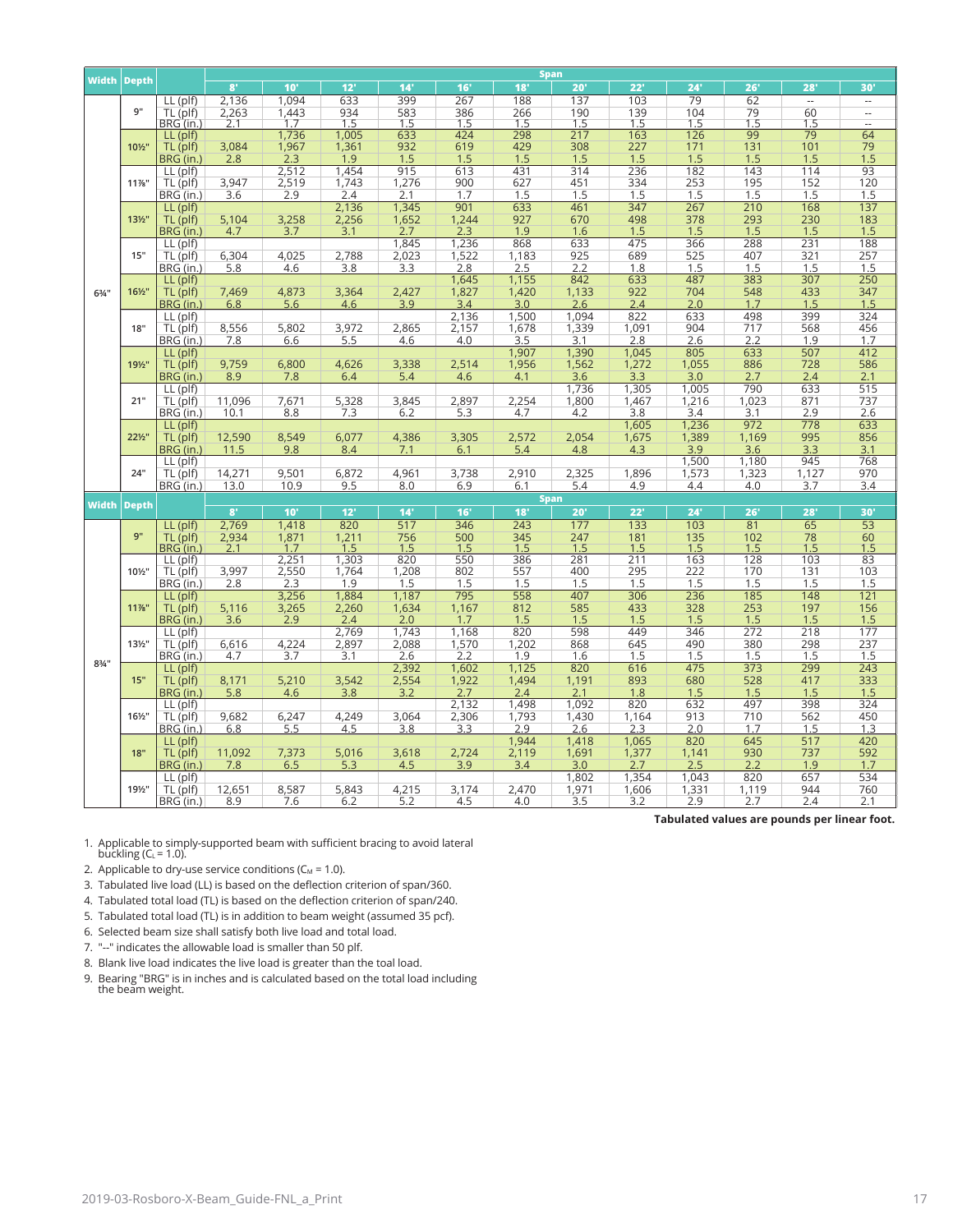|                    |                   |                         |                | <b>Span</b>     |              |              |              |              |                    |            |            |            |                        |                          |  |  |
|--------------------|-------------------|-------------------------|----------------|-----------------|--------------|--------------|--------------|--------------|--------------------|------------|------------|------------|------------------------|--------------------------|--|--|
| <b>Width Depth</b> |                   |                         | 8'             | 10 <sup>1</sup> | 12'          | 14'          | 16'          | 18'          | 20'                | 22'        | 24'        | 26'        | 28'                    | 30'                      |  |  |
|                    |                   | LL (plf)                | 2,136          | 1,094           | 633          | 399          | 267          | 188          | 137                | 103        | 79         | 62         | $\sim$                 | $\overline{\phantom{a}}$ |  |  |
|                    | 9"                | TL (plf)                | 2,263          | 1,443           | 934          | 583          | 386          | 266          | 190                | 139        | 104        | 79         | 60                     | u.                       |  |  |
|                    |                   | BRG (in.                | 2.1            | 1.7             | 1.5          | 1.5          | 1.5          | 1.5          | 1.5                | 1.5        | 1.5        | 1.5<br>99  | 1.5                    | $\overline{\phantom{a}}$ |  |  |
|                    | 101/2"            | LL (plf)                |                | 1,736<br>1,967  | 1,005        | 633<br>932   | 424<br>619   | 298<br>429   | 217<br>308         | 163<br>227 | 126<br>171 | 131        | $\overline{79}$<br>101 | 64<br>79                 |  |  |
|                    |                   | TL (plf)<br>BRG (in.)   | 3,084<br>2.8   | 2.3             | 1,361<br>1.9 | 1.5          | 1.5          | 1.5          | 1.5                | 1.5        | 1.5        | 1.5        | 1.5                    | 1.5                      |  |  |
|                    |                   | $LL$ (plf)              |                | 2,512           | 1,454        | 915          | 613          | 431          | 314                | 236        | 182        | 143        | 114                    | 93                       |  |  |
|                    | 11%"              | TL (plf)                | 3,947          | 2,519           | 1,743        | 1,276        | 900          | 627          | 451                | 334        | 253        | 195        | 152                    | 120                      |  |  |
|                    |                   | BRG (in.)               | 3.6            | 2.9             | 2.4          | 2.1          | 1.7          | 1.5          | 1.5                | 1.5        | 1.5        | 1.5        | 1.5                    | 1.5                      |  |  |
|                    |                   | LL (plf)                |                |                 | 2,136        | 1,345        | 901          | 633          | 461                | 347        | 267        | 210        | 168                    | 137                      |  |  |
|                    | $13\frac{1}{2}$ " | TL (plf)                | 5,104          | 3,258           | 2,256        | 1,652        | 1,244        | 927          | 670                | 498        | 378        | 293        | 230                    | 183                      |  |  |
|                    |                   | BRG (in.)               | 4.7            | 3.7             | 3.1          | 2.7          | 2.3          | 1.9          | 1.6                | 1.5        | 1.5        | 1.5        | 1.5                    | 1.5                      |  |  |
|                    |                   | LL (plf)                |                |                 |              | 1,845        | 1,236        | 868          | 633                | 475        | 366        | 288        | 231                    | 188                      |  |  |
|                    | 15"               | TL (plf)                | 6,304          | 4,025           | 2,788        | 2,023        | 1,522        | 1,183        | 925                | 689        | 525        | 407        | 321                    | 257                      |  |  |
|                    |                   | BRG (in.)               | 5.8            | 4.6             | 3.8          | 3.3          | 2.8          | 2.5          | 2.2                | 1.8        | 1.5        | 1.5        | 1.5                    | 1.5                      |  |  |
|                    |                   | LL (plf)                |                |                 |              |              | 1,645        | 1,155        | 842                | 633        | 487        | 383        | 307                    | 250                      |  |  |
| $6\frac{3}{4}$ "   | 161/2"            | TL (plf)                | 7,469<br>6.8   | 4,873<br>5.6    | 3,364<br>4.6 | 2,427<br>3.9 | 1,827<br>3.4 | 1,420<br>3.0 | 1,133<br>2.6       | 922<br>2.4 | 704<br>2.0 | 548<br>1.7 | 433<br>1.5             | 347<br>1.5               |  |  |
|                    |                   | BRG (in.)<br>$LL$ (plf) |                |                 |              |              | 2,136        | 1,500        | 1,094              | 822        | 633        | 498        | 399                    | 324                      |  |  |
|                    | 18"               | TL (plf)                | 8,556          | 5,802           | 3,972        | 2,865        | 2,157        | 1,678        | 1,339              | 1,091      | 904        | 717        | 568                    | 456                      |  |  |
|                    |                   | BRG (in.)               | 7.8            | 6.6             | 5.5          | 4.6          | 4.0          | 3.5          | 3.1                | 2.8        | 2.6        | 2.2        | 1.9                    | 1.7                      |  |  |
|                    |                   | $LL$ (plf)              |                |                 |              |              |              | 1,907        | 1,390              | 1,045      | 805        | 633        | 507                    | 412                      |  |  |
|                    | 191/2"            | TL (plf)                | 9,759          | 6,800           | 4,626        | 3,338        | 2,514        | 1,956        | 1,562              | 1,272      | 1,055      | 886        | 728                    | 586                      |  |  |
|                    |                   | BRG (in.)               | 8.9            | 7.8             | 6.4          | 5.4          | 4.6          | 4.1          | 3.6                | 3.3        | 3.0        | 2.7        | 2.4                    | 2.1                      |  |  |
|                    |                   | LL (plf)                |                |                 |              |              |              |              | 1,736              | 1,305      | 1,005      | 790        | 633                    | 515                      |  |  |
|                    | 21"               | TL (plf)                | 11,096         | 7,671           | 5,328        | 3,845        | 2,897        | 2,254        | 1,800              | 1,467      | 1,216      | 1,023      | 871                    | 737                      |  |  |
|                    |                   | BRG (in.)               | 10.1           | 8.8             | 7.3          | 6.2          | 5.3          | 4.7          | 4.2                | 3.8        | 3.4        | 3.1        | 2.9                    | 2.6                      |  |  |
|                    |                   | LL (plf)                |                |                 |              |              |              |              |                    | 1,605      | 1,236      | 972        | 778                    | 633                      |  |  |
|                    | 221/2"            | TL (plf)                | 12,590         | 8,549           | 6,077        | 4,386        | 3,305        | 2,572        | 2,054              | 1,675      | 1,389      | 1,169      | 995                    | 856                      |  |  |
|                    |                   | BRG (in.)               | 11.5           | 9.8             | 8.4          | 7.1          | 6.1          | 5.4          | 4.8                | 4.3        | 3.9        | 3.6        | 3.3                    | 3.1                      |  |  |
|                    |                   | $LL$ (plf)              |                |                 |              |              |              |              |                    |            | 1,500      | 1,180      | 945                    | 768                      |  |  |
|                    | 24"               | TL (plf)                | 14,271         | 9,501           | 6,872        | 4,961        | 3,738        | 2,910        | 2,325              | 1,896      | 1,573      | 1,323      | 1,127                  | 970                      |  |  |
|                    |                   | BRG (in.)               | 13.0           | 10.9            | 9.5          | 8.0          | 6.9          | 6.1          | 5.4                | 4.9        | 4.4        | 4.0        | 3.7                    | 3.4                      |  |  |
| <b>Width Depth</b> |                   |                         | 8 <sup>1</sup> | 10'             | 12'          | 14'          | 16'          | 18'          | <b>Span</b><br>20' | 22'        | 24'        | 26'        | 28'                    | 30'                      |  |  |
|                    |                   |                         |                |                 | 820          | 517          | 346          | 243          | 177                | 133        | 103        | 81         | $\overline{65}$        | $\overline{53}$          |  |  |
|                    | 9"                | LL (plf)                | 2,769          | 1,418<br>1,871  |              | 756          | 500          | 345          | 247                | 181        | 135        | 102        |                        | 60                       |  |  |
|                    |                   | TL (plf)<br>BRG (in.)   | 2,934<br>2.1   | 1.7             | 1,211<br>1.5 | 1.5          | 1.5          | 1.5          | 1.5                | 1.5        | 1.5        | 1.5        | $78 \over 1.5$         | 1.5                      |  |  |
|                    |                   | LL (plf)                |                | 2,251           | 1,303        | 820          | 550          | 386          | 281                | 211        | 163        | 128        | 103                    | 83                       |  |  |
|                    | 101/2"            | TL (plf)                | 3,997          | 2,550           | 1,764        | 1,208        | 802          | 557          | 400                | 295        | 222        | 170        | 131                    | 103                      |  |  |
|                    |                   | BRG (in.)               | 2.8            | 2.3             | 1.9          | 1.5          | 1.5          | 1.5          | 1.5                | 1.5        | 1.5        | 1.5        | 1.5                    | 1.5                      |  |  |
|                    |                   | LL (plf)                |                | 3,256           | 1,884        | 1,187        | 795          | 558          | 407                | 306        | 236        | 185        | 148                    | 121                      |  |  |
|                    | 11%"              | TL (plf)                | 5,116          | 3,265           | 2,260        | 1,634        | 1.167        | 812          | 585                | 433        | 328        | 253        | 197                    | 156                      |  |  |
|                    |                   | BRG (in.)               | 3.6            | 2.9             | 2.4          | 2.0          | 1.7          | 1.5          | 1.5                | 1.5        | 1.5        | 1.5        | 1.5                    | 1.5                      |  |  |
|                    |                   | $LL$ (plf)              |                |                 | 2.769        | 1,743        | 1,168        | 820          | 598                | 449        | 346        | 272        | 218                    | 177                      |  |  |
|                    | 131/2"            | TL (plf)                | 6,616          | 4,224           | 2,897        | 2,088        | 1,570        | 1,202        | 868                | 645        | 490        | 380        | 298                    | 237                      |  |  |
| $8\frac{3}{4}$ "   |                   | BRG (in.)               | 4.7            | 3.7             | 3.1          | 2.6          | 2.2          | 1.9          | 1.6                | 1.5        | 1.5        | 1.5        | 1.5                    | 1.5                      |  |  |
|                    | 15"               | LL (plf)                |                |                 |              | 2,392        | 1,602        | 1,125        | 820                | 616        | 475        | 373        | 299                    | 243                      |  |  |
|                    |                   | TL (plf)                | 8,171          | 5,210           | 3,542        | 2,554<br>3.2 | 1,922<br>2.7 | 1,494<br>2.4 | 1,191<br>2.1       | 893<br>1.8 | 680        | 528        | 417<br>1.5             | 333                      |  |  |
|                    |                   | BRG (in.)               | 5.8            | 4.6             | 3.8          |              | 2,132        | 1,498        | 1.092              | 820        | 1.5<br>632 | 1.5<br>497 | 398                    | 1.5<br>324               |  |  |
|                    | 161/2"            | LL (plf)<br>TL (plf)    | 9,682          | 6,247           | 4,249        | 3,064        | 2,306        | 1,793        | 1,430              | 1,164      | 913        | 710        | 562                    | 450                      |  |  |
|                    |                   | BRG (in.)               | 6.8            | 5.5             | 4.5          | 3.8          | 3.3          | 2.9          | 2.6                | 2.3        | 2.0        | 1.7        | 1.5                    | 1.3                      |  |  |
|                    |                   | LL (plf)                |                |                 |              |              |              | 1,944        | 1,418              | 1,065      | 820        | 645        | 517                    | 420                      |  |  |
|                    | 18"               | TL (plf)                | 11,092         | 7,373           | 5,016        | 3,618        | 2,724        | 2,119        | 1,691              | 1,377      | 1,141      | 930        | 737                    | 592                      |  |  |
|                    |                   | BRG (in.)               | 7.8            | 6.5             | 5.3          | 4.5          | 3.9          | 3.4          | 3.0                | 2.7        | 2.5        | 2.2        | 1.9                    | 1.7                      |  |  |
|                    |                   | LL (plf)                |                |                 |              |              |              |              | 1,802              | 1,354      | 1,043      | 820        | 657                    | 534                      |  |  |
|                    | 191/2"            | TL (plf)                | 12,651         | 8,587           | 5,843        | 4,215        | 3,174        | 2,470        | 1,971              | 1,606      | 1,331      | 1,119      | 944                    | 760                      |  |  |
|                    |                   | BRG (in.)               | 8.9            | 7.6             | 6.2          | 5.2          | 4.5          | 4.0          | 3.5                | 3.2        | 2.9        | 2.7        | 2.4                    | 2.1                      |  |  |

**Tabulated values are pounds per linear foot.**

1. Applicable to simply-supported beam with sufficient bracing to avoid lateral<br>buckling (C $_L$  = 1.0).

2. Applicable to dry-use service conditions ( $C_M = 1.0$ ).

- 3. Tabulated live load (LL) is based on the defection criterion of span/360.
- 4. Tabulated total load (TL) is based on the defection criterion of span/240.
- 5. Tabulated total load (TL) is in addition to beam weight (assumed 35 pcf).
- 6. Selected beam size shall satisfy both live load and total load.
- 7. "--" indicates the allowable load is smaller than 50 plf.
- 8. Blank live load indicates the live load is greater than the toal load.
- 9. Bearing "BRG" is in inches and is calculated based on the total load including the beam weight.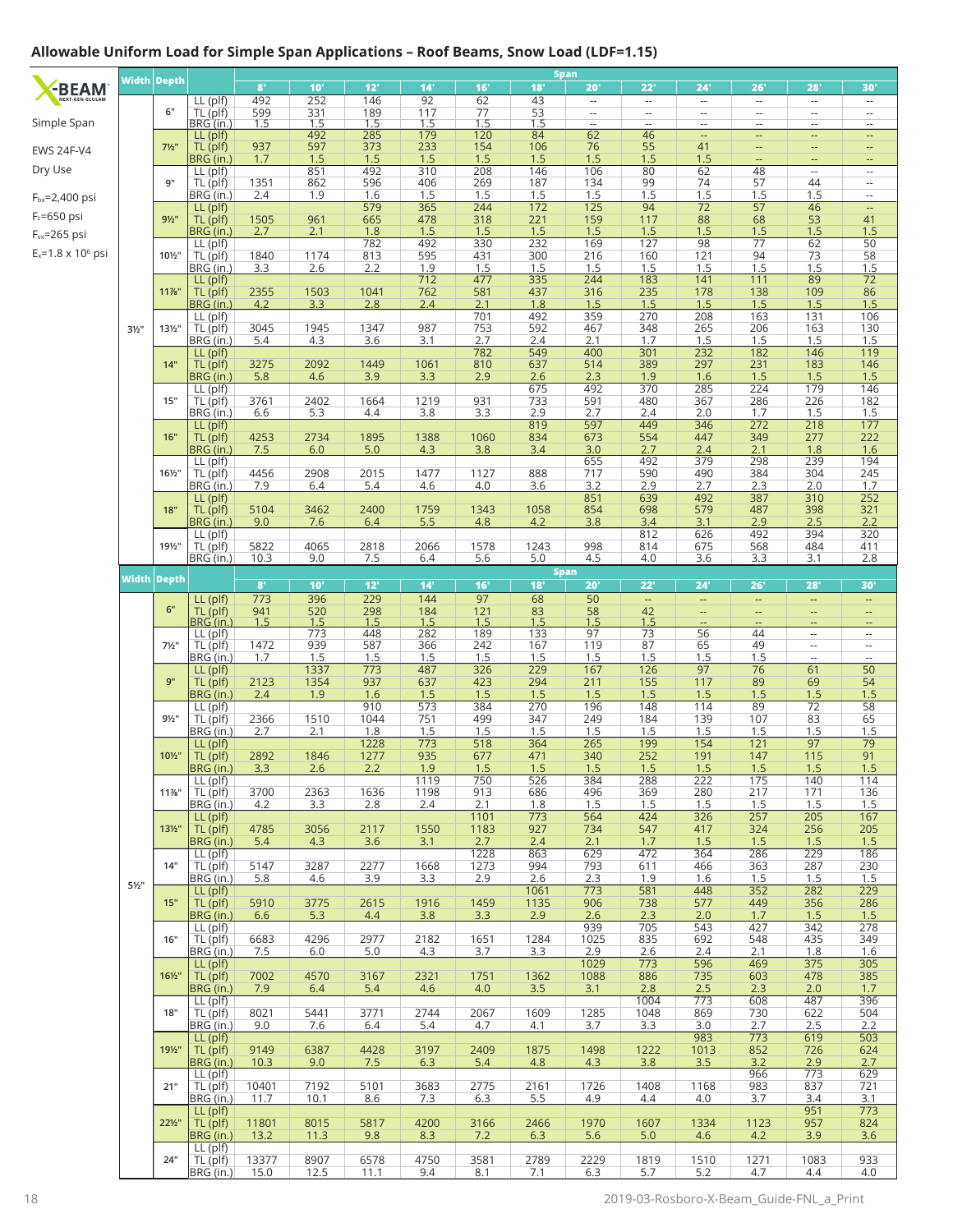## **Allowable Uniform Load for Simple Span Applications – Roof Beams, Snow Load (LDF=1.15)**

|                             |                  | Width Depth        |                        | 8 <sup>1</sup> | 10'               | 12'         | 14'         | 16'              | 18'               | Span<br>20'                                          | 22'                                                  | 24'                                                  | 26'                                                  | 28'                                                  | 30'                                                  |
|-----------------------------|------------------|--------------------|------------------------|----------------|-------------------|-------------|-------------|------------------|-------------------|------------------------------------------------------|------------------------------------------------------|------------------------------------------------------|------------------------------------------------------|------------------------------------------------------|------------------------------------------------------|
| -BEAM                       |                  |                    | LL (plf)               | 492            | 252               | 146         | 92          | 62               | 43                | $\sim$                                               | $\sim$                                               | $\overline{\phantom{a}}$                             | $\overline{\phantom{a}}$                             | $\overline{\phantom{a}}$                             | $\overline{\phantom{a}}$                             |
| Simple Span                 |                  | 6"                 | TL (plf)<br>BRG (in.)  | 599<br>1.5     | $\frac{331}{1.5}$ | 189<br>1.5  | 117<br>1.5  | $\frac{77}{1.5}$ | $\frac{53}{1.5}$  | $\overline{\phantom{a}}$<br>$\overline{\phantom{a}}$ | $\overline{\phantom{a}}$<br>$\overline{\phantom{a}}$ | $\overline{\phantom{a}}$<br>$\overline{\phantom{a}}$ | $\overline{\phantom{a}}$<br>$\overline{\phantom{a}}$ | $\sim$<br>$\overline{\phantom{a}}$                   | $\sim$<br>$\overline{\phantom{a}}$                   |
|                             |                  |                    | $LL$ (plf)             |                | 492               | 285         | 179         | 120              | 84                | 62                                                   | 46                                                   | $\overline{\phantom{a}}$                             | --                                                   |                                                      | н,                                                   |
| <b>EWS 24F-V4</b>           |                  | $7\frac{1}{2}$ "   | TL (plf)<br>BRG (in.)  | 937<br>1.7     | 597<br>1.5        | 373<br>1.5  | 233<br>1.5  | 154<br>1.5       | 106<br>1.5        | 76<br>1.5                                            | 55<br>1.5                                            | 41<br>1.5                                            | $\qquad \qquad -$                                    | --<br>ц,                                             | --                                                   |
| Dry Use                     |                  |                    | LL (plf)               |                | 851               | 492         | 310         | 208              | 146               | 106                                                  | 80                                                   | 62                                                   | 48                                                   | $\overline{a}$                                       | $\overline{\phantom{a}}$                             |
| F <sub>bx</sub> =2,400 psi  |                  | 9"                 | TL (plf)<br>BRG (in.)  | 1351<br>2.4    | 862<br>1.9        | 596<br>1.6  | 406<br>1.5  | 269<br>1.5       | 187<br>1.5        | 134<br>1.5                                           | 99<br>1.5                                            | 74<br>1.5                                            | 57<br>1.5                                            | 44<br>1.5                                            | $\sim$<br>Ξ.                                         |
| $F_c = 650$ psi             |                  |                    | LL (plf)               |                |                   | 579         | 365         | 244              | 172               | $\overline{125}$                                     | 94                                                   | 72                                                   | $\overline{57}$                                      | 46                                                   |                                                      |
| F <sub>vx</sub> =265 psi    |                  | $9\frac{1}{2}$ "   | TL (plf)<br>BRG (in.)  | 1505<br>2.7    | 961<br>2.1        | 665<br>1.8  | 478<br>1.5  | 318<br>1.5       | 221<br>1.5        | 159<br>1.5                                           | 117<br>1.5                                           | 88<br>1.5                                            | 68<br>1.5                                            | 53<br>1.5                                            | 41<br>1.5                                            |
|                             |                  |                    | LL (plf)               |                |                   | 782         | 492         | 330              | 232               | 169                                                  | 127                                                  | 98                                                   | $\overline{77}$                                      | 62                                                   | $\overline{50}$                                      |
| $E_x = 1.8 \times 10^6$ psi |                  | 101/2"             | TL (plf)<br>BRG (in.)  | 1840<br>3.3    | 1174<br>2.6       | 813<br>2.2  | 595<br>1.9  | 431<br>1.5       | 300<br>1.5        | 216<br>1.5                                           | 160<br>1.5                                           | 121<br>1.5                                           | 94<br>$\frac{1}{1.5}$                                | 73<br>1.5                                            | 58<br>1.5                                            |
|                             |                  |                    | LL (plf)               |                |                   |             | 712         | 477              | 335               | 244                                                  | 183                                                  | 141                                                  | 111                                                  | 89                                                   | $\overline{72}$                                      |
|                             |                  | 11%"               | TL (plf)<br>BRG (in.)  | 2355<br>4.2    | 1503<br>3.3       | 1041<br>2.8 | 762<br>2.4  | 581<br>2.1       | 437<br>1.8        | 316<br>1.5                                           | 235<br>1.5                                           | 178<br>1.5                                           | 138<br>1.5                                           | 109<br>1.5                                           | 86<br>1.5                                            |
|                             |                  |                    | LL (plf)               |                |                   |             |             | 701              | 492               | 359                                                  | 270                                                  | 208                                                  | 163                                                  | 131                                                  | 106                                                  |
|                             | $3\frac{1}{2}$ " | 131/2"             | TL (plf)<br>BRG (in.)  | 3045<br>5.4    | 1945<br>4.3       | 1347<br>3.6 | 987<br>3.1  | 753<br>2.7       | 592<br>2.4        | 467<br>2.1                                           | 348<br>1.7                                           | 265<br>1.5                                           | 206<br>1.5                                           | 163                                                  | 130<br>1.5                                           |
|                             |                  |                    | LL (plf)               |                |                   |             |             | 782              | 549               | 400                                                  | 301                                                  | 232                                                  | 182                                                  | $\frac{1.5}{146}$                                    | 119                                                  |
|                             |                  | 14"                | TL (plf)<br>BRG (in.)  | 3275<br>5.8    | 2092<br>4.6       | 1449<br>3.9 | 1061<br>3.3 | 810<br>2.9       | 637<br>2.6        | 514<br>2.3                                           | 389<br>1.9                                           | 297<br>1.6                                           | 231<br>1.5                                           | 183<br>1.5                                           | 146<br>1.5                                           |
|                             |                  |                    | $LL$ (plf)             |                |                   |             |             |                  | 675               | 492                                                  | 370                                                  | 285                                                  | 224                                                  | 179                                                  | 146                                                  |
|                             |                  | 15"                | TL (plf)<br>BRG (in.)  | 3761<br>6.6    | 2402<br>5.3       | 1664<br>4.4 | 1219<br>3.8 | 931<br>3.3       | 733<br>2.9        | 591<br>2.7                                           | 480<br>2.4                                           | 367<br>2.0                                           | 286<br>1.7                                           | 226<br>1.5                                           | 182<br>1.5                                           |
|                             |                  |                    | LL (plf)               |                |                   |             |             |                  | 819               | 597                                                  | 449                                                  | 346                                                  | 272                                                  | 218                                                  | 177                                                  |
|                             |                  | 16"                | TL (plf)<br>BRG (in.)  | 4253<br>7.5    | 2734<br>6.0       | 1895<br>5.0 | 1388<br>4.3 | 1060<br>3.8      | 834<br>3.4        | 673<br>3.0                                           | 554<br>2.7                                           | 447<br>2.4                                           | 349<br>2.1                                           | 277<br>1.8                                           | 222<br>1.6                                           |
|                             |                  |                    | LL (plf)               |                |                   | 2015        |             |                  |                   | 655<br>717                                           | 492                                                  | 379                                                  | 298                                                  | 239                                                  | 194                                                  |
|                             |                  | 161/2"             | TL (plf)<br>BRG (in.)  | 4456<br>7.9    | 2908<br>6.4       | 5.4         | 1477<br>4.6 | 1127<br>4.0      | 888<br>3.6        | 3.2                                                  | 590<br>2.9                                           | 490<br>2.7                                           | 384<br>2.3                                           | 304<br>2.0                                           | 245<br>1.7                                           |
|                             |                  | 18"                | LL (plf)<br>TL (plf)   | 5104           | 3462              | 2400        | 1759        | 1343             | 1058              | 851<br>854                                           | 639<br>698                                           | 492<br>579                                           | 387<br>487                                           | 310<br>398                                           | 252<br>321                                           |
|                             |                  |                    | BRG (in.)              | 9.0            | 7.6               | 6.4         | 5.5         | 4.8              | 4.2               | 3.8                                                  | 3.4                                                  | 3.1                                                  | 2.9                                                  | 2.5                                                  | 2.2                                                  |
|                             |                  | 191/2"             | LL (plf)<br>TL (plf)   | 5822           | 4065              | 2818        | 2066        | 1578             | 1243              | 998                                                  | 812<br>814                                           | 626<br>675                                           | 492<br>568                                           | 394<br>484                                           | 320<br>411                                           |
|                             |                  |                    | BRG (in.)              | 10.3           | 9.0               | 7.5         | 6.4         | 5.6              | 5.0               | 4.5                                                  | 4.0                                                  | 3.6                                                  | 3.3                                                  | 3.1                                                  | 2.8                                                  |
|                             |                  | <b>Width Depth</b> |                        | $8^{\circ}$    | 10'               | 12'         | 14'         | 16'              | 18'               | <b>Span</b><br>20'                                   | 22'                                                  | 24'                                                  | 26'                                                  | 28'                                                  | 30'                                                  |
|                             |                  |                    | LL (plf)               | 773            | 396               | 229         | 144         | $\overline{97}$  | 68                | 50                                                   | $\mathbb{Z}^2$                                       | ÷                                                    | $\overline{\phantom{a}}$                             | $\Box$                                               | --                                                   |
|                             |                  | 6"                 | TL (plf)<br>BRG (in.   | 941<br>1.5     | 520<br>1.5        | 298<br>1.5  | 184<br>1.5  | 121<br>1.5       | 83                | 58<br>1.5                                            | 42                                                   | --<br>--                                             | --<br>--                                             | $\overline{\phantom{a}}$<br>$\overline{\phantom{a}}$ | --<br>--                                             |
|                             |                  |                    | $LL$ (plf)             |                | 773               | 448         | 282         | 189              | $\frac{1.5}{133}$ | 97                                                   | $\frac{1.5}{73}$                                     | $\overline{56}$                                      | 44                                                   | $\overline{\phantom{a}}$                             | $\overline{\phantom{a}}$                             |
|                             |                  | $7\frac{1}{2}$ "   | TL (plf)<br>BRG (in.)  | 1472<br>1.7    | 939<br>1.5        | 587<br>1.5  | 366<br>1.5  | 242<br>1.5       | 167<br>1.5        | 119<br>1.5                                           | 87<br>1.5                                            | 65<br>1.5                                            | 49<br>1.5                                            | $\overline{\phantom{a}}$<br>$\overline{a}$           | $\overline{\phantom{a}}$<br>$\overline{\phantom{a}}$ |
|                             |                  |                    | LL (plf)               |                | 1337              | 773         | 487         | 326              | 229               | 167                                                  | 126                                                  | 97                                                   | 76                                                   | 61                                                   | 50                                                   |
|                             |                  | 9"                 | TL (plf)<br>BRG (in.)  | 2123<br>2.4    | 1354<br>1.9       | 937<br>1.6  | 637<br>1.5  | 423<br>1.5       | 294<br>1.5        | 211<br>1.5                                           | 155<br>1.5                                           | 117<br>1.5                                           | 89<br>1.5                                            | 69<br>1.5                                            | 54<br>1.5                                            |
|                             |                  |                    | LL (plf)               |                |                   | 910         | 573         | 384              | 270               | 196                                                  | 148                                                  | 114                                                  | 89                                                   | 72                                                   | 58                                                   |
|                             |                  | $9\frac{1}{2}$ "   | TL (plf)<br>BRG (in.)  | 2366<br>2.7    | 1510<br>2.1       | 1044<br>1.8 | 751<br>1.5  | 499<br>1.5       | 347<br>1.5        | 249<br>1.5                                           | 184<br>1.5                                           | 139<br>1.5                                           | 107<br>1.5                                           | 83<br>1.5                                            | 65<br>1.5                                            |
|                             |                  |                    | $LL$ (plf)             |                |                   | 1228        | 773         | 518              | 364               | 265                                                  | 199                                                  | 154                                                  | 121                                                  | $\overline{97}$                                      | 79                                                   |
|                             |                  | 101/2"             | TL (plf)<br>BRG (in.)  | 2892<br>3.3    | 1846<br>2.6       | 1277<br>2.2 | 935<br>1.9  | 677<br>1.5       | 471<br>1.5        | 340<br>1.5                                           | 252<br>1.5                                           | 191<br>1.5                                           | 147<br>1.5                                           | 115<br>1.5                                           | 91<br>1.5                                            |
|                             |                  |                    | LL (plf)               |                |                   |             | 1119        | 750              | 526               | 384                                                  | 288                                                  | 222                                                  | 175                                                  | 140                                                  | 114                                                  |
|                             |                  | $11\%$ "           | TL (plf)<br>BRG (in.)  | 3700<br>4.2    | 2363<br>3.3       | 1636<br>2.8 | 1198<br>2.4 | 913<br>2.1       | 686<br>1.8        | 496<br>1.5                                           | 369<br>1.5                                           | 280<br>1.5                                           | 217<br>1.5                                           | 171<br>1.5                                           | 136<br>1.5                                           |
|                             |                  |                    | $LL$ (plf)             |                |                   |             |             | 1101             | 773               | 564                                                  | 424                                                  | 326                                                  | 257                                                  | 205                                                  | 167                                                  |
|                             |                  | $13\frac{1}{2}$    | TL (plf)<br>BRG (in.)  | 4785<br>5.4    | 3056<br>4.3       | 2117<br>3.6 | 1550<br>3.1 | 1183<br>2.7      | 927<br>2.4        | 734<br>2.1                                           | 547<br>1.7                                           | 417<br>1.5                                           | 324<br>1.5                                           | 256<br>1.5                                           | 205<br>1.5                                           |
|                             |                  |                    | LL (plf)               |                |                   |             |             | 1228             | 863               | 629                                                  | 472                                                  | 364                                                  | 286                                                  | 229                                                  | 186                                                  |
|                             |                  | 14"                | TL (plf)<br>BRG (in.)  | 5147<br>5.8    | 3287<br>4.6       | 2277<br>3.9 | 1668<br>3.3 | 1273<br>2.9      | 994<br>2.6        | 793<br>2.3                                           | 611<br>1.9                                           | 466<br>1.6                                           | 363<br>1.5                                           | 287<br>1.5                                           | 230<br>1.5                                           |
|                             | $5\frac{1}{2}$ " |                    | $LL$ (plf)             |                |                   |             |             |                  | 1061              | 773                                                  | 581                                                  | 448                                                  | 352                                                  | 282                                                  | 229                                                  |
|                             |                  | 15"                | TL (plf)<br>BRG (in.)  | 5910<br>6.6    | 3775<br>5.3       | 2615<br>4.4 | 1916<br>3.8 | 1459<br>3.3      | 1135<br>2.9       | 906<br>2.6                                           | 738<br>2.3                                           | 577<br>2.0                                           | 449<br>1.7                                           | 356<br>1.5                                           | 286<br>1.5                                           |
|                             |                  | 16"                | $LL$ (plf)             |                |                   |             |             |                  |                   | 939                                                  | 705                                                  | 543                                                  | 427                                                  | 342                                                  | 278                                                  |
|                             |                  |                    | TL (plf)<br>BRG (in.)  | 6683<br>7.5    | 4296<br>6.0       | 2977<br>5.0 | 2182<br>4.3 | 1651<br>3.7      | 1284<br>3.3       | 1025<br>2.9                                          | 835<br>2.6                                           | 692<br>2.4                                           | 548<br>2.1                                           | 435<br>1.8                                           | 349<br>1.6                                           |
|                             |                  | $16\frac{1}{2}$    | $LL$ (plf)<br>TL (plf) | 7002           | 4570              | 3167        | 2321        | 1751             | 1362              | 1029<br>1088                                         | 773<br>886                                           | 596<br>735                                           | 469<br>603                                           | 375<br>478                                           | 305<br>385                                           |
|                             |                  |                    | BRG (in.)              | 7.9            | 6.4               | 5.4         | 4.6         | 4.0              | 3.5               | 3.1                                                  | 2.8                                                  | 2.5                                                  | 2.3                                                  | 2.0                                                  | 1.7                                                  |
|                             |                  | 18"                | $LL$ (plf)<br>TL (plf) | 8021           | 5441              | 3771        | 2744        | 2067             | 1609              | 1285                                                 | 1004<br>1048                                         | 773<br>869                                           | 608<br>730                                           | 487<br>622                                           | 396<br>504                                           |
|                             |                  |                    | BRG (in.)              | 9.0            | 7.6               | 6.4         | 5.4         | 4.7              | 4.1               | 3.7                                                  | 3.3                                                  | 3.0                                                  | 2.7                                                  | 2.5                                                  | 2.2                                                  |
|                             |                  | 191/2"             | $LL$ (plf)<br>TL (plf) | 9149           | 6387              | 4428        | 3197        | 2409             | 1875              | 1498                                                 | 1222                                                 | 983<br>1013                                          | 773<br>852                                           | 619<br>726                                           | 503<br>624                                           |
|                             |                  |                    | BRG (in.)              | 10.3           | 9.0               | 7.5         | 6.3         | 5.4              | 4.8               | 4.3                                                  | 3.8                                                  | 3.5                                                  | 3.2                                                  | 2.9                                                  | 2.7                                                  |
|                             |                  | 21"                | $LL$ (plf)<br>TL (plf) | 10401          | 7192              | 5101        | 3683        | 2775             | 2161              | 1726                                                 | 1408                                                 | 1168                                                 | 966<br>983                                           | 773<br>837                                           | 629<br>721                                           |
|                             |                  |                    | BRG (in.)              | 11.7           | 10.1              | 8.6         | 7.3         | 6.3              | 5.5               | 4.9                                                  | 4.4                                                  | 4.0                                                  | 3.7                                                  | 3.4                                                  | 3.1                                                  |
|                             |                  | $22\frac{1}{2}$    | LL (plf)<br>TL (plf)   | 11801          | 8015              | 5817        | 4200        | 3166             | 2466              | 1970                                                 | 1607                                                 | 1334                                                 | 1123                                                 | 951<br>957                                           | 773<br>824                                           |
|                             |                  |                    | BRG (in.)              | 13.2           | 11.3              | 9.8         | 8.3         | 7.2              | 6.3               | 5.6                                                  | 5.0                                                  | 4.6                                                  | 4.2                                                  | 3.9                                                  | 3.6                                                  |
|                             |                  | 24"                | $LL$ (plf)<br>TL (plf) | 13377          | 8907              | 6578        | 4750        | 3581             | 2789              | 2229                                                 | 1819                                                 | 1510                                                 | 1271                                                 | 1083                                                 | 933                                                  |
|                             |                  |                    | BRG (in.)              | 15.0           | 12.5              | 11.1        | 9.4         | 8.1              | 7.1               | 6.3                                                  | 5.7                                                  | 5.2                                                  | 4.7                                                  | 4.4                                                  | 4.0                                                  |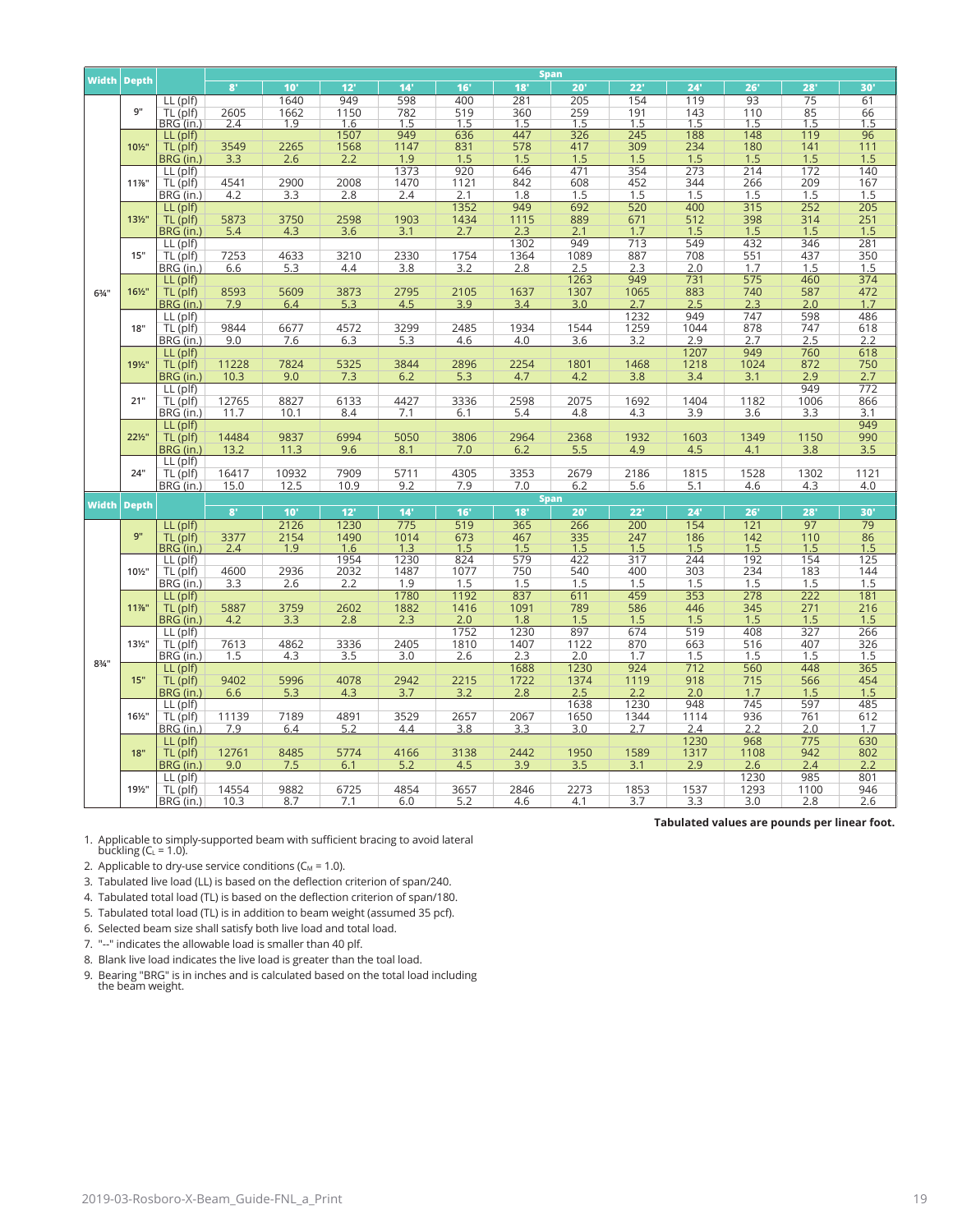|                  |                    |                         |               | <b>Span</b>     |              |             |                   |             |                   |                    |             |                   |                  |                 |  |  |
|------------------|--------------------|-------------------------|---------------|-----------------|--------------|-------------|-------------------|-------------|-------------------|--------------------|-------------|-------------------|------------------|-----------------|--|--|
|                  | <b>Width Depth</b> |                         | 8'            | 10 <sup>1</sup> | 12'          | 14'         | 16'               | 18'         | 20'               | 22'                | 24'         | 26'               | 28'              | 30'             |  |  |
|                  |                    | $LL$ (plf)              |               | 1640            | 949          | 598         | 400               | 281         | 205               | 154                | 119         | 93                | $\overline{75}$  | 61              |  |  |
|                  | 9"                 | TL (plf)                | 2605          | 1662            | 1150         | 782         | 519               | 360         | 259               | 191                | 143         | 110               | $\frac{85}{1.5}$ | 66              |  |  |
|                  |                    | BRG (in.)               | 2.4           | 1.9             | 1.6          | 1.5         | 1.5               | 1.5         | 1.5               | 1.5                | 1.5         | 1.5               |                  | 1.5             |  |  |
|                  | 101/2"             | LL (plf)                |               |                 | 1507         | 949<br>1147 | 636               | 447<br>578  | 326<br>417        | 245                | 188<br>234  | 148<br>180        | 119<br>141       | 96<br>111       |  |  |
|                  |                    | TL (plf)<br>BRG (in.)   | 3549<br>3.3   | 2265<br>2.6     | 1568<br>2.2  | 1.9         | 831<br>1.5        | 1.5         | 1.5               | 309<br>1.5         | 1.5         | 1.5               | 1.5              | 1.5             |  |  |
|                  |                    | LL (plf)                |               |                 |              | 1373        | 920               | 646         | 471               | 354                | 273         | 214               | 172              | 140             |  |  |
|                  | 11%"               | TL (plf)                | 4541          | 2900            | 2008         | 1470        | 1121              | 842         | 608               | 452                | 344         | 266               | 209              | 167             |  |  |
|                  |                    | BRG (in.)               | 4.2           | 3.3             | 2.8          | 2.4         | 2.1               | 1.8         | 1.5               | 1.5                | 1.5         | 1.5               | 1.5              | 1.5             |  |  |
|                  |                    | LL (plf)                |               |                 |              |             | 1352              | 949         | 692               | 520                | 400         | 315               | 252              | 205             |  |  |
|                  | 131/2"             | TL (plf)                | 5873          | 3750            | 2598         | 1903        | 1434              | 1115        | 889               | 671                | 512         | 398               | 314              | 251             |  |  |
|                  |                    | BRG (in.)               | 5.4           | 4.3             | 3.6          | 3.1         | 2.7               | 2.3         | 2.1               | 1.7                | 1.5         | 1.5               | 1.5              | 1.5             |  |  |
|                  |                    | $LL$ (plf)              |               |                 |              |             |                   | 1302        | 949               | 713                | 549         | 432               | 346              | 281             |  |  |
|                  | 15"                | TL (plf)                | 7253          | 4633            | 3210         | 2330        | 1754              | 1364        | 1089              | 887                | 708         | 551               | 437              | 350             |  |  |
|                  |                    | BRG (in.)               | 6.6           | 5.3             | 4.4          | 3.8         | 3.2               | 2.8         | 2.5               | 2.3                | 2.0         | 1.7               | 1.5              | 1.5             |  |  |
|                  |                    | LL (plf)                |               |                 |              |             |                   |             | 1263              | 949                | 731         | 575               | 460              | 374             |  |  |
| $6\frac{3}{4}$ " | 161/2"             | TL (plf)                | 8593          | 5609            | 3873         | 2795        | 2105              | 1637        | 1307              | 1065               | 883         | 740               | 587              | 472             |  |  |
|                  |                    | BRG (in.)               | 7.9           | 6.4             | 5.3          | 4.5         | 3.9               | 3.4         | 3.0               | 2.7<br>1232        | 2.5         | 2.3<br>747        | 2.0<br>598       | 1.7<br>486      |  |  |
|                  | 18"                | $LL$ (plf)<br>TL (plf)  | 9844          | 6677            | 4572         | 3299        | 2485              | 1934        | 1544              | 1259               | 949<br>1044 | 878               | 747              | 618             |  |  |
|                  |                    | BRG (in.)               | 9.0           | 7.6             | 6.3          | 5.3         | 4.6               | 4.0         | 3.6               | 3.2                | 2.9         | 2.7               | 2.5              | 2.2             |  |  |
|                  |                    | LL (plf)                |               |                 |              |             |                   |             |                   |                    | 1207        | 949               | 760              | 618             |  |  |
|                  | 191/2"             | TL (plf)                | 11228         | 7824            | 5325         | 3844        | 2896              | 2254        | 1801              | 1468               | 1218        | 1024              | 872              | 750             |  |  |
|                  |                    | BRG (in.)               | 10.3          | 9.0             | 7.3          | 6.2         | 5.3               | 4.7         | 4.2               | 3.8                | 3.4         | 3.1               | 2.9              | 2.7             |  |  |
|                  | 21"                | $LL$ (plf)              |               |                 |              |             |                   |             |                   |                    |             |                   | 949              | 772             |  |  |
|                  |                    | TL (plf)                | 12765         | 8827            | 6133         | 4427        | 3336              | 2598        | 2075              | 1692               | 1404        | 1182              | 1006             | 866             |  |  |
|                  |                    | BRG (in.)               | 11.7          | 10.1            | 8.4          | 7.1         | 6.1               | 5.4         | 4.8               | 4.3                | 3.9         | 3.6               | 3.3              | 3.1             |  |  |
|                  |                    | $LL$ (plf)              |               |                 |              |             |                   |             |                   |                    |             |                   |                  | 949             |  |  |
|                  | 221/2"             | TL (plf)                | 14484         | 9837            | 6994         | 5050        | 3806              | 2964        | 2368              | 1932               | 1603        | 1349              | 1150             | 990             |  |  |
|                  |                    | BRG (in.)               | 13.2          | 11.3            | 9.6          | 8.1         | 7.0               | 6.2         | 5.5               | 4.9                | 4.5         | 4.1               | 3.8              | 3.5             |  |  |
|                  |                    | $LL$ (plf)              |               |                 |              | 5711        |                   |             |                   |                    |             |                   |                  |                 |  |  |
|                  | 24"                | TL (plf)<br>BRG (in.)   | 16417<br>15.0 | 10932<br>12.5   | 7909<br>10.9 | 9.2         | 4305<br>7.9       | 3353<br>7.0 | 2679<br>6.2       | 2186<br>5.6        | 1815<br>5.1 | 1528<br>4.6       | 1302<br>4.3      | 1121<br>4.0     |  |  |
|                  |                    |                         |               |                 |              |             |                   |             | <b>Span</b>       |                    |             |                   |                  |                 |  |  |
|                  | <b>Width Depth</b> |                         | 8'            | 10'             | 12'          | 14'         | 16'               | 18'         | 20'               | 22'                | 24'         | 26'               | 28'              | 30'             |  |  |
|                  |                    | LL (plf)                |               | 2126            | 1230         | 775         | 519               | 365         | 266               | 200                | 154         | 121               | 97               | $\overline{79}$ |  |  |
|                  | 9"                 | TL <sub>(plf)</sub>     |               | 2154            | 1490         | 1014        |                   | 467         |                   | 247                | 186         |                   | 110              |                 |  |  |
|                  |                    | BRG (in.)               | 3377<br>2.4   | 1.9             | 1.6          | 1.3         | $\frac{673}{1.5}$ | 1.5         | $\frac{335}{1.5}$ | $\frac{71.5}{1.5}$ | 1.5         | $\frac{142}{1.5}$ | 1.5              | $86$<br>$1.5$   |  |  |
|                  |                    | LL (plf)                |               |                 | 1954         | 1230        | 824               | 579         | 422               | 317                | 244         | 192               | 154              | 125             |  |  |
|                  | 101/2"             | TL (plf)                | 4600          | 2936            | 2032         | 1487        | 1077              | 750         | 540               | 400                | 303         | 234               | 183              | 144             |  |  |
|                  |                    | BRG (in.)               | 3.3           | 2.6             | 2.2          | 1.9         | 1.5               | 1.5         | 1.5               | 1.5                | 1.5         | 1.5               | 1.5              | 1.5             |  |  |
|                  |                    | $LL$ (plf)              |               |                 |              | 1780        | 1192              | 837         | 611               | 459                | 353         | 278               | 222              | 181             |  |  |
|                  | 11%"               | TL (plf)                | 5887          | 3759            | 2602         | 1882        | 1416              | 1091        | 789               | 586                | 446<br>1.5  | 345<br>1.5        | 271<br>1.5       | 216             |  |  |
|                  |                    | BRG (in.)<br>$LL$ (plf) | 4.2           | 3.3             | 2.8          | 2.3         | 2.0<br>1752       | 1.8<br>1230 | 1.5<br>897        | 1.5<br>674         | 519         | 408               | 327              | 1.5<br>266      |  |  |
|                  | 131/2"             | TL (plf)                | 7613          | 4862            | 3336         | 2405        | 1810              | 1407        | 1122              | 870                | 663         | 516               | 407              | 326             |  |  |
|                  |                    | BRG (in.)               | 1.5           | 4.3             | 3.5          | 3.0         | 2.6               | 2.3         | 2.0               | 1.7                | 1.5         | 1.5               | 1.5              | 1.5             |  |  |
| $8\frac{3}{4}$ " |                    | LL (plf)                |               |                 |              |             |                   | 1688        | 1230              | 924                | 712         | 560               | 448              | 365             |  |  |
|                  | 15"                | TL (plf)                | 9402          | 5996            | 4078         | 2942        | 2215              | 1722        | 1374              | 1119               | 918         | 715               | 566              | 454             |  |  |
|                  |                    | BRG (in.)               | 6.6           | 5.3             | 4.3          | 3.7         | 3.2               | 2.8         | 2.5               | 2.2                | 2.0         | 1.7               | 1.5              | 1.5             |  |  |
|                  |                    | $LL$ (plf)              |               |                 |              |             |                   |             | 1638              | 1230               | 948         | 745               | 597              | 485             |  |  |
|                  | 161/2"             | TL (plf)                | 11139         | 7189            | 4891         | 3529        | 2657              | 2067        | 1650              | 1344               | 1114        | 936               | 761              | 612             |  |  |
|                  |                    | BRG (in.)               | 7.9           | 6.4             | 5.2          | 4.4         | 3.8               | 3.3         | 3.0               | 2.7                | 2.4         | 2.2               | 2.0              | 1.7             |  |  |
|                  |                    | LL (plf)                |               |                 |              |             |                   |             |                   |                    | 1230        | 968               | 775              | 630             |  |  |
|                  | 18"                | TL (plf)                | 12761         | 8485            | 5774         | 4166        | 3138              | 2442        | 1950              | 1589               | 1317        | 1108              | 942              | 802             |  |  |
|                  |                    | BRG (in.)               | 9.0           | 7.5             | 6.1          | 5.2         | 4.5               | 3.9         | 3.5               | 3.1                | 2.9         | 2.6<br>1230       | 2.4<br>985       | 2.2             |  |  |
|                  | 191/2"             | LL (plf)<br>TL (plf)    | 14554         | 9882            | 6725         | 4854        | 3657              | 2846        | 2273              | 1853               | 1537        | 1293              | 1100             | 801<br>946      |  |  |
|                  |                    | BRG (in.)               | 10.3          | 8.7             | 7.1          | 6.0         | 5.2               | 4.6         | 4.1               | 3.7                | 3.3         | 3.0               | 2.8              | 2.6             |  |  |
|                  |                    |                         |               |                 |              |             |                   |             |                   |                    |             |                   |                  |                 |  |  |

1. Applicable to simply-supported beam with sufficient bracing to avoid lateral<br>buckling (C $_L$  = 1.0).

2. Applicable to dry-use service conditions ( $C_M = 1.0$ ).

3. Tabulated live load (LL) is based on the defection criterion of span/240.

4. Tabulated total load (TL) is based on the defection criterion of span/180.

5. Tabulated total load (TL) is in addition to beam weight (assumed 35 pcf).

6. Selected beam size shall satisfy both live load and total load.

7. "--" indicates the allowable load is smaller than 40 plf.

8. Blank live load indicates the live load is greater than the toal load.

9. Bearing "BRG" is in inches and is calculated based on the total load including the beam weight.

**Tabulated values are pounds per linear foot.**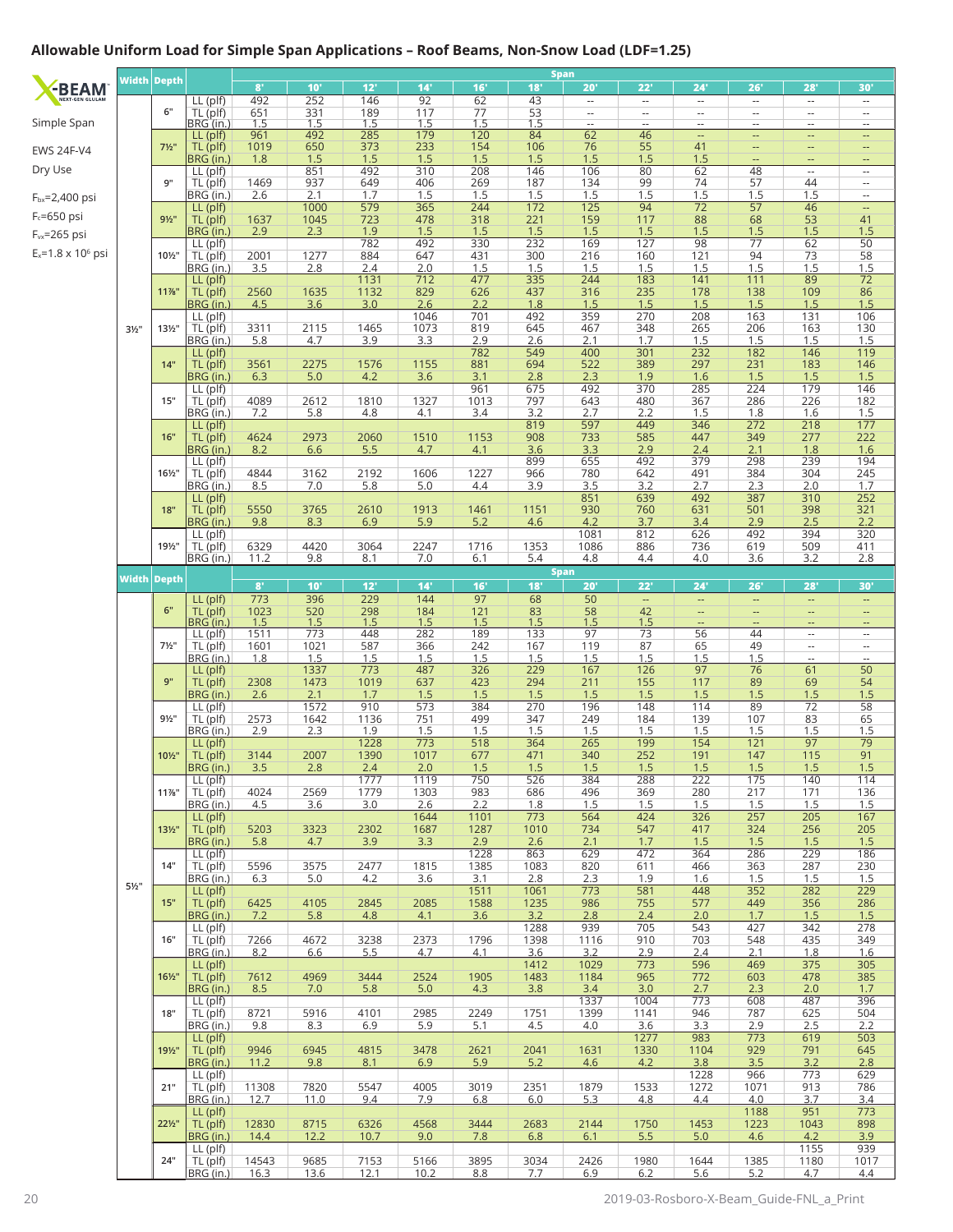## **Allowable Uniform Load for Simple Span Applications – Roof Beams, Non-Snow Load (LDF=1.25)**

|                             |                  | Width Depth        |                          | $\mathbf{8}^*$   | 10'                 | 12'          | 14'                     | 16'              | 18'               | Span<br>20'                    | 22'                            | 24'                            | 26'                                                  | 28'                                                  | 30'                                           |
|-----------------------------|------------------|--------------------|--------------------------|------------------|---------------------|--------------|-------------------------|------------------|-------------------|--------------------------------|--------------------------------|--------------------------------|------------------------------------------------------|------------------------------------------------------|-----------------------------------------------|
| -BEAM                       |                  |                    | LL (plf)                 | 492              | 252                 | 146          | 92                      | 62               | 43                | $\overline{\phantom{a}}$       | $\overline{\phantom{a}}$       | $\overline{\phantom{a}}$       | $\overline{\phantom{a}}$                             | $\overline{\phantom{a}}$                             | $\overline{\phantom{a}}$                      |
|                             |                  | 6"                 | TL (plf)<br>BRG (in.)    | 651              | $\frac{331}{1.5}$   | 189          | 117                     | $\frac{77}{1.5}$ | 53                | $\overline{\phantom{a}}$       | $\overline{\phantom{a}}$       | $\cdots$                       | $\overline{\phantom{a}}$                             | $\overline{\phantom{a}}$                             | $\overline{\phantom{a}}$                      |
| Simple Span                 |                  |                    | LL (plf)                 | 1.5<br>961       | 492                 | 1.5<br>285   | 1.5<br>179              | 120              | 1.5<br>84         | $\overline{\phantom{a}}$<br>62 | $\overline{\phantom{a}}$<br>46 | $\overline{\phantom{a}}$<br>-- | $\overline{\phantom{a}}$<br>$\overline{\phantom{a}}$ | $\overline{a}$<br>--                                 | $\qquad \qquad -$<br>--                       |
| <b>EWS 24F-V4</b>           |                  | $7\frac{1}{2}$ "   | TL (plf)                 | 1019             | 650                 | 373          | 233                     | 154              | 106               | 76                             | 55                             | 41                             |                                                      | --                                                   | $\qquad \qquad -$                             |
| Dry Use                     |                  |                    | BRG (in.)<br>LL (plf)    | 1.8              | 1.5<br>851          | 1.5<br>492   | 1.5<br>$\overline{310}$ | 1.5<br>208       | 1.5<br>146        | 1.5<br>106                     | 1.5<br>80                      | 1.5<br>62                      | $\qquad \qquad -$<br>48                              | --<br>$\overline{\phantom{a}}$                       | $\qquad \qquad -$<br>$\overline{\phantom{a}}$ |
|                             |                  | 9"                 | TL (plf)                 | 1469             | 937                 | 649          | 406                     | 269              | 187               | 134                            | 99                             | 74                             | 57                                                   | 44                                                   | $\overline{\phantom{a}}$                      |
| F <sub>bx</sub> =2,400 psi  |                  |                    | BRG (in.)<br>LL (plf)    | 2.6              | 2.1<br>1000         | 1.7<br>579   | 1.5<br>365              | 1.5<br>244       | 1.5<br>172        | 1.5<br>125                     | 1.5<br>94                      | 1.5<br>$\overline{72}$         | $\frac{1.5}{57}$                                     | 1.5<br>46                                            | $\overline{\phantom{a}}$                      |
| $F_c = 650$ psi             |                  | $9\frac{1}{2}$     | TL (plf)                 | 1637             | 1045                | 723          | 478                     | 318              | 221               | 159                            | 117                            | 88                             | 68                                                   | 53                                                   | 41                                            |
| F <sub>vx</sub> =265 psi    |                  |                    | BRG (in.)                | 2.9              | 2.3                 | 1.9          | 1.5                     | 1.5              | 1.5               | 1.5                            | 1.5                            | 1.5                            | 1.5                                                  | 1.5                                                  | 1.5                                           |
| $E_x = 1.8 \times 10^6$ psi |                  | 101/2"             | LL (plf)<br>TL (plf)     | 2001             | 1277                | 782<br>884   | 492<br>647              | 330<br>431       | 232<br>300        | 169<br>216                     | 127<br>160                     | 98<br>121                      | $\overline{77}$<br>94                                | 62<br>73                                             | $\overline{50}$<br>58                         |
|                             |                  |                    | BRG (in.)                | 3.5              | 2.8                 | 2.4          | 2.0                     | 1.5              | 1.5               | 1.5                            | 1.5                            | 1.5                            | 1.5                                                  | 1.5                                                  | 1.5                                           |
|                             |                  | 11%"               | LL (plf)<br>TL (plf)     | 2560             | 1635                | 1131<br>1132 | 712<br>829              | 477<br>626       | 335<br>437        | 244<br>316                     | 183<br>235                     | 141<br>178                     | 111<br>138                                           | 89<br>109                                            | 72<br>86                                      |
|                             |                  |                    | BRG (in.)                | 4.5              | 3.6                 | 3.0          | 2.6                     | 2.2              | 1.8               | 1.5                            | 1.5                            | 1.5                            | 1.5                                                  | 1.5                                                  | 1.5                                           |
|                             |                  | 131/2"             | LL (plf)                 | 3311             | 2115                | 1465         | 1046<br>1073            | 701<br>819       | 492<br>645        | 359<br>467                     | 270<br>348                     | 208<br>265                     | 163<br>206                                           | 131<br>163                                           | 106<br>130                                    |
|                             | $3\frac{1}{2}$ " |                    | TL (plf)<br>BRG (in.)    | 5.8              | 4.7                 | 3.9          | 3.3                     | 2.9              |                   | 2.1                            | 1.7                            | 1.5                            | 1.5                                                  |                                                      | 1.5                                           |
|                             |                  |                    | LL (plf)                 |                  |                     |              |                         | 782              | $\frac{2.6}{549}$ | 400                            | 301                            | 232                            | 182                                                  | $\frac{1.5}{146}$                                    | 119                                           |
|                             |                  | 14"                | TL (plf)<br>BRG (in.)    | 3561<br>6.3      | 2275<br>5.0         | 1576<br>4.2  | 1155<br>3.6             | 881<br>3.1       | 694<br>2.8        | 522<br>2.3                     | 389<br>1.9                     | 297<br>1.6                     | 231<br>1.5                                           | 183<br>1.5                                           | 146<br>1.5                                    |
|                             |                  |                    | $LL$ (plf)               |                  |                     |              |                         | 961              | 675               | 492                            | 370                            | 285                            | 224                                                  | 179                                                  | 146                                           |
|                             |                  | 15"                | TL (plf)<br>BRG (in.)    | 4089<br>7.2      | 2612<br>5.8         | 1810<br>4.8  | 1327<br>4.1             | 1013<br>3.4      | 797<br>3.2        | 643<br>2.7                     | 480<br>2.2                     | 367<br>1.5                     | 286<br>1.8                                           | 226<br>1.6                                           | 182<br>1.5                                    |
|                             |                  |                    | LL (plf)                 |                  |                     |              |                         |                  | 819               | 597                            | 449                            | 346                            | 272                                                  | 218                                                  | 177                                           |
|                             |                  | 16"                | TL (plf)<br>BRG (in.)    | 4624<br>8.2      | 2973<br>6.6         | 2060<br>5.5  | 1510<br>4.7             | 1153<br>4.1      | 908<br>3.6        | 733<br>3.3                     | 585<br>2.9                     | 447<br>2.4                     | 349<br>2.1                                           | 277<br>1.8                                           | 222<br>1.6                                    |
|                             |                  |                    | LL (plf)                 |                  |                     |              |                         |                  | 899               | 655                            | 492                            | 379                            | 298                                                  | 239                                                  | 194                                           |
|                             |                  | 161/2"             | TL (plf)                 | 4844             | 3162                | 2192         | 1606                    | 1227             | 966               | 780                            | 642                            | 491                            | 384                                                  | 304                                                  | 245                                           |
|                             |                  |                    | BRG (in.)<br>$LL$ (plf)  | 8.5              | 7.0                 | 5.8          | 5.0                     | 4.4              | 3.9               | 3.5<br>851                     | $\frac{3.2}{639}$              | 2.7<br>492                     | 2.3<br>387                                           | 2.0<br>310                                           | 1.7<br>252                                    |
|                             |                  | 18"                | TL (plf)                 | 5550             | 3765                | 2610         | 1913                    | 1461             | 1151              | 930                            | 760                            | 631                            | 501                                                  | 398                                                  | 321                                           |
|                             |                  |                    | BRG (in.)<br>LL (plf)    | 9.8              | 8.3                 | 6.9          | 5.9                     | 5.2              | 4.6               | 4.2<br>1081                    | 3.7<br>812                     | 3.4<br>626                     | 2.9<br>492                                           | 2.5<br>394                                           | 2.2<br>320                                    |
|                             |                  | 191/2"             | TL (plf)                 | 6329             | 4420                | 3064         | 2247                    | 1716             | 1353              | 1086                           | 886                            | 736                            | 619                                                  | 509                                                  | 411                                           |
|                             |                  |                    | BRG (in.)                | 11.2             | 9.8                 | 8.1          | 7.0                     | 6.1              | 5.4               | 4.8<br><b>Span</b>             | 4.4                            | 4.0                            | 3.6                                                  | 3.2                                                  | 2.8                                           |
|                             |                  | <b>Width Depth</b> |                          | $8^{\circ}$      | 10'                 | 12'          | 14'                     | 16'              | 18'               | 20'                            | 22'                            | 24'                            | 26'                                                  | 28'                                                  | 30'                                           |
|                             |                  |                    | $LL$ (plf)               | $\overline{773}$ | 396                 | 229          | 144                     | $\overline{97}$  | 68                | 50                             | $\mathbb{L}^2$                 | Ξ,                             | Ξ.                                                   | $\overline{\phantom{a}}$                             | ٠.                                            |
|                             |                  | 6"                 | TL (plf)<br>BRG (in.     | 1023<br>1.5      | 520<br>1.5          | 298<br>1.5   | 184                     | 121<br>1.5       | 83                | 58<br>1.5                      | 42                             | --<br>н,                       | н,<br>$\qquad \qquad \cdots$                         | --<br>--                                             | ٠.<br>$\overline{\phantom{a}}$                |
|                             |                  |                    | LL (plf)                 | 1511             | 773                 | 448          | $\frac{1.5}{282}$       | 189              | $\frac{1.5}{133}$ | 97                             | $\frac{1.5}{73}$               | 56                             | 44                                                   | $\overline{\phantom{a}}$                             | ٠.                                            |
|                             |                  | $7\frac{1}{2}$ "   | TL (plf)<br>BRG (in.)    | 1601<br>1.8      | 1021<br>1.5         | 587<br>1.5   | 366<br>1.5              | 242<br>1.5       | 167<br>1.5        | 119<br>1.5                     | 87<br>1.5                      | 65<br>1.5                      | 49<br>1.5                                            | $\overline{\phantom{a}}$<br>$\overline{\phantom{a}}$ | --<br>--                                      |
|                             |                  |                    | LL (plf)                 |                  | 1337                | 773          | 487                     | 326              | 229               | 167                            | 126                            | 97                             | 76                                                   | 61                                                   | 50                                            |
|                             |                  | 9"                 | TL (plf)<br>BRG (in.)    | 2308<br>2.6      | 1473<br>2.1         | 1019<br>1.7  | 637<br>1.5              | 423<br>1.5       | 294<br>1.5        | 211<br>1.5                     | 155<br>1.5                     | 117<br>1.5                     | 89<br>1.5                                            | 69<br>1.5                                            | 54<br>1.5                                     |
|                             |                  |                    | $LL$ (plf)               |                  | 1572                | 910          | 573                     | 384              | 270               | 196                            | 148                            | 114                            | 89                                                   | $\overline{72}$                                      | 58                                            |
|                             |                  | $9\frac{1}{2}$ "   | TL (plf)<br>BRG (in.)    | 2573<br>2.9      | 1642<br>2.3         | 1136<br>1.9  | 751<br>1.5              | 499<br>1.5       | 347<br>1.5        | 249<br>1.5                     | 184<br>1.5                     | 139<br>1.5                     | 107<br>1.5                                           | 83<br>1.5                                            | 65<br>1.5                                     |
|                             |                  |                    | $LL$ (plf)               |                  |                     | 1228         | 773                     | 518              | 364               | 265                            | 199                            | 154                            | 121                                                  | $\overline{97}$                                      | $\overline{79}$                               |
|                             |                  | 101/2"             | TL (plf)<br>BRG (in.)    | 3144<br>3.5      | 2007                | 1390<br>2.4  | 1017<br>2.0             | 677<br>1.5       | 471<br>1.5        | 340<br>1.5                     | 252<br>1.5                     | 191<br>1.5                     | 147<br>1.5                                           | 115<br>1.5                                           | 91<br>1.5                                     |
|                             |                  |                    | LL (plf)                 |                  | 2.8                 | 1777         | 1119                    | 750              | 526               | 384                            | 288                            | 222                            | 175                                                  | 140                                                  | 114                                           |
|                             |                  | $11\%$ "           | TL (plf)                 | 4024             | 2569                | 1779         | 1303                    | 983              | 686               | 496                            | 369                            | 280                            | 217                                                  | 171                                                  | 136                                           |
|                             |                  |                    | BRG (in.)<br>$LL$ (plf)  | 4.5              | 3.6                 | 3.0          | 2.6<br>1644             | 2.2<br>1101      | 1.8<br>773        | 1.5<br>564                     | 1.5<br>424                     | 1.5<br>326                     | 1.5<br>257                                           | 1.5<br>205                                           | 1.5<br>167                                    |
|                             |                  | $13\frac{1}{2}$ "  | TL (plf)                 | 5203             | 3323                | 2302         | 1687                    | 1287             | 1010              | 734                            | 547                            | 417                            | 324                                                  | 256                                                  | 205                                           |
|                             |                  |                    | BRG (in.)<br>LL (plf)    | 5.8              | 4.7                 | 3.9          | 3.3                     | 2.9<br>1228      | 2.6<br>863        | 2.1<br>629                     | 1.7<br>472                     | 1.5<br>364                     | 1.5<br>286                                           | 1.5<br>229                                           | 1.5<br>186                                    |
|                             |                  | 14"                | TL (plf)                 | 5596             | 3575                | 2477         | 1815                    | 1385             | 1083              | 820                            | 611                            | 466                            | 363                                                  | 287                                                  | 230                                           |
|                             | $5\frac{1}{2}$ " |                    | BRG (in.)<br>LL (plf)    | 6.3              | 5.0                 | 4.2          | 3.6                     | 3.1<br>1511      | 2.8<br>1061       | 2.3<br>773                     | 1.9<br>581                     | 1.6<br>448                     | 1.5<br>352                                           | 1.5<br>282                                           | 1.5<br>229                                    |
|                             |                  | 15"                | TL (plf)                 | 6425             | 4105                | 2845         | 2085                    | 1588             | 1235              | 986                            | 755                            | 577                            | 449                                                  | 356                                                  | 286                                           |
|                             |                  |                    | BRG (in.)                | 7.2              | 5.8                 | 4.8          | 4.1                     | 3.6              | 3.2               | 2.8                            | 2.4                            | 2.0                            | 1.7                                                  | 1.5                                                  | 1.5                                           |
|                             |                  | 16"                | $LL$ (plf)<br>TL (plf)   | 7266             | 4672                | 3238         | 2373                    | 1796             | 1288<br>1398      | 939<br>1116                    | 705<br>910                     | 543<br>703                     | 427<br>548                                           | 342<br>435                                           | 278<br>349                                    |
|                             |                  |                    | BRG (in.)                | 8.2              | 6.6                 | 5.5          | 4.7                     | 4.1              | 3.6               | 3.2                            | 2.9                            | 2.4                            | 2.1                                                  | 1.8                                                  | 1.6                                           |
|                             |                  | $16\frac{1}{2}$ "  | $LL$ (plf)<br>$TL$ (plf) | 7612             | 4969                | 3444         | 2524                    | 1905             | 1412<br>1483      | 1029<br>1184                   | 773<br>965                     | 596<br>772                     | 469<br>603                                           | 375<br>478                                           | 305<br>385                                    |
|                             |                  |                    | BRG (in.)                | 8.5              | 7.0                 | 5.8          | 5.0                     | 4.3              | 3.8               | 3.4                            | 3.0                            | 2.7                            | 2.3                                                  | 2.0                                                  | 1.7                                           |
|                             |                  | 18"                | $LL$ (plf)<br>TL (plf)   | 8721             | 5916                | 4101         | 2985                    | 2249             | 1751              | 1337<br>1399                   | 1004<br>1141                   | 773<br>946                     | 608<br>787                                           | 487<br>625                                           | 396<br>504                                    |
|                             |                  |                    | BRG (in.)                | 9.8              | 8.3                 | 6.9          | 5.9                     | 5.1              | 4.5               | 4.0                            | 3.6                            | 3.3                            | 2.9                                                  | 2.5                                                  | 2.2                                           |
|                             |                  | 191/2"             | $LL$ (plf)<br>TL (plf)   |                  |                     |              |                         |                  |                   |                                | 1277<br>1330                   | 983<br>1104                    | 773<br>929                                           | 619<br>791                                           | 503<br>645                                    |
|                             |                  |                    | BRG (in.)                | 9946<br>11.2     | 6945<br>9.8         | 4815<br>8.1  | 3478<br>6.9             | 2621<br>5.9      | 2041<br>5.2       | 1631<br>4.6                    | 4.2                            | 3.8                            | 3.5                                                  | 3.2                                                  | 2.8                                           |
|                             |                  |                    | $LL$ (plf)               |                  |                     |              |                         |                  |                   |                                |                                | 1228                           | 966                                                  | 773                                                  | 629                                           |
|                             |                  | 21"                | TL (plf)<br>BRG (in.)    | 11308<br>12.7    | 7820<br><u>11.0</u> | 5547<br>9.4  | 4005<br>7.9             | 3019<br>6.8      | 2351<br>6.0       | 1879<br>5.3                    | 1533<br>4.8                    | 1272<br>4.4                    | 1071<br>4.0                                          | 913<br>3.7                                           | 786<br>3.4                                    |
|                             |                  |                    | $LL$ (plf)               |                  |                     |              |                         |                  |                   |                                |                                |                                | 1188                                                 | 951                                                  | 773                                           |
|                             |                  | $22\frac{1}{2}$    | TL (plf)<br>BRG (in.)    | 12830<br>14.4    | 8715<br>12.2        | 6326<br>10.7 | 4568<br>9.0             | 3444<br>7.8      | 2683<br>6.8       | 2144<br>6.1                    | 1750<br>5.5                    | 1453<br>5.0                    | 1223<br>4.6                                          | 1043<br>4.2                                          | 898<br>3.9                                    |
|                             |                  |                    | LL (plf)                 |                  |                     |              |                         |                  |                   |                                |                                |                                |                                                      | 1155                                                 | 939                                           |
|                             |                  | 24"                | TL (plf)<br>BRG (in.)    | 14543<br>16.3    | 9685<br>13.6        | 7153<br>12.1 | 5166<br>10.2            | 3895<br>8.8      | 3034<br>7.7       | 2426<br>6.9                    | 1980<br>6.2                    | 1644<br>5.6                    | 1385<br>5.2                                          | 1180<br>4.7                                          | 1017<br>4.4                                   |
|                             |                  |                    |                          |                  |                     |              |                         |                  |                   |                                |                                |                                |                                                      |                                                      |                                               |